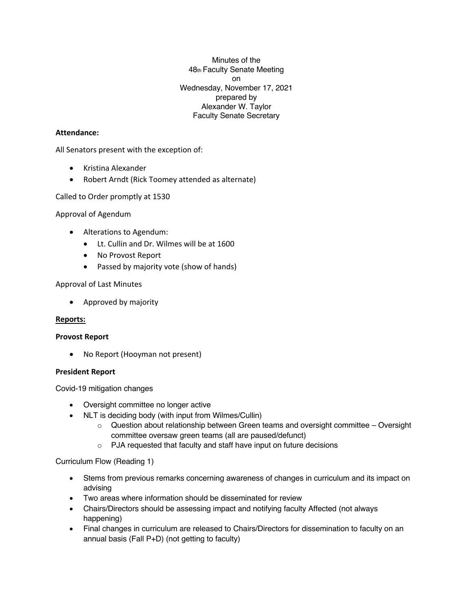Minutes of the 48th Faculty Senate Meeting on Wednesday, November 17, 2021 prepared by Alexander W. Taylor Faculty Senate Secretary

### **Attendance:**

All Senators present with the exception of:

- Kristina Alexander
- Robert Arndt (Rick Toomey attended as alternate)

Called to Order promptly at 1530

Approval of Agendum

- Alterations to Agendum:
	- Lt. Cullin and Dr. Wilmes will be at 1600
	- No Provost Report
	- Passed by majority vote (show of hands)

#### Approval of Last Minutes

• Approved by majority

#### **Reports:**

#### **Provost Report**

• No Report (Hooyman not present)

#### **President Report**

Covid-19 mitigation changes

- Oversight committee no longer active
- NLT is deciding body (with input from Wilmes/Cullin)
	- $\circ$  Question about relationship between Green teams and oversight committee Oversight committee oversaw green teams (all are paused/defunct)
	- o PJA requested that faculty and staff have input on future decisions

#### Curriculum Flow (Reading 1)

- Stems from previous remarks concerning awareness of changes in curriculum and its impact on advising
- Two areas where information should be disseminated for review
- Chairs/Directors should be assessing impact and notifying faculty Affected (not always happening)
- Final changes in curriculum are released to Chairs/Directors for dissemination to faculty on an annual basis (Fall P+D) (not getting to faculty)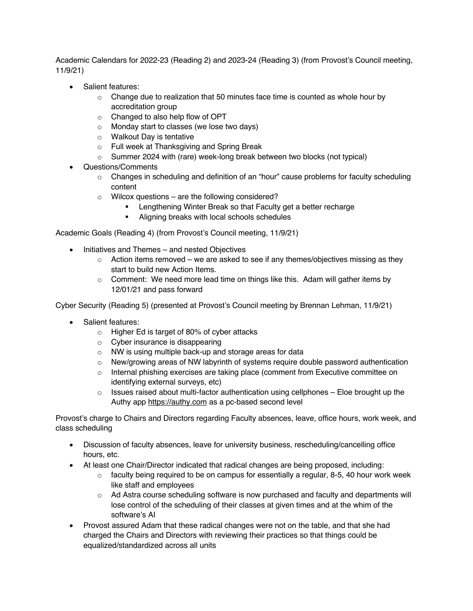Academic Calendars for 2022-23 (Reading 2) and 2023-24 (Reading 3) (from Provost's Council meeting, 11/9/21)

- Salient features:
	- $\circ$  Change due to realization that 50 minutes face time is counted as whole hour by accreditation group
	- o Changed to also help flow of OPT
	- o Monday start to classes (we lose two days)
	- o Walkout Day is tentative
	- o Full week at Thanksgiving and Spring Break
	- $\circ$  Summer 2024 with (rare) week-long break between two blocks (not typical)
- Questions/Comments
	- $\circ$  Changes in scheduling and definition of an "hour" cause problems for faculty scheduling content
	- $\circ$  Wilcox questions are the following considered?
		- Lengthening Winter Break so that Faculty get a better recharge
		- § Aligning breaks with local schools schedules

Academic Goals (Reading 4) (from Provost's Council meeting, 11/9/21)

- Initiatives and Themes and nested Objectives
	- $\circ$  Action items removed we are asked to see if any themes/objectives missing as they start to build new Action Items.
	- o Comment: We need more lead time on things like this. Adam will gather items by 12/01/21 and pass forward

Cyber Security (Reading 5) (presented at Provost's Council meeting by Brennan Lehman, 11/9/21)

- Salient features:
	- o Higher Ed is target of 80% of cyber attacks
	- $\circ$  Cyber insurance is disappearing
	- o NW is using multiple back-up and storage areas for data
	- $\circ$  New/growing areas of NW labyrinth of systems require double password authentication
	- $\circ$  Internal phishing exercises are taking place (comment from Executive committee on identifying external surveys, etc)
	- $\circ$  Issues raised about multi-factor authentication using cellphones Eloe brought up the Authy app https://authy.com as a pc-based second level

Provost's charge to Chairs and Directors regarding Faculty absences, leave, office hours, work week, and class scheduling

- Discussion of faculty absences, leave for university business, rescheduling/cancelling office hours, etc.
- At least one Chair/Director indicated that radical changes are being proposed, including:
	- $\circ$  faculty being required to be on campus for essentially a regular, 8-5, 40 hour work week like staff and employees
	- $\circ$  Ad Astra course scheduling software is now purchased and faculty and departments will lose control of the scheduling of their classes at given times and at the whim of the software's AI
- Provost assured Adam that these radical changes were not on the table, and that she had charged the Chairs and Directors with reviewing their practices so that things could be equalized/standardized across all units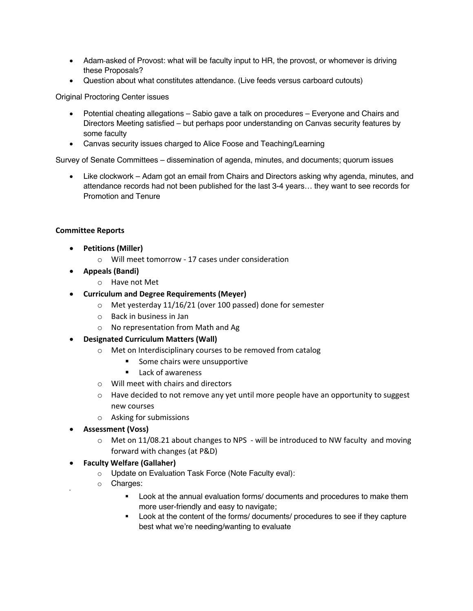- Adam-asked of Provost: what will be faculty input to HR, the provost, or whomever is driving these Proposals?
- Question about what constitutes attendance. (Live feeds versus carboard cutouts)

Original Proctoring Center issues

- Potential cheating allegations Sabio gave a talk on procedures Everyone and Chairs and Directors Meeting satisfied – but perhaps poor understanding on Canvas security features by some faculty
- Canvas security issues charged to Alice Foose and Teaching/Learning

Survey of Senate Committees – dissemination of agenda, minutes, and documents; quorum issues

• Like clockwork – Adam got an email from Chairs and Directors asking why agenda, minutes, and attendance records had not been published for the last 3-4 years… they want to see records for Promotion and Tenure

## **Committee Reports**

- **Petitions (Miller)**
	- o Will meet tomorrow 17 cases under consideration
- **Appeals (Bandi)**
	- o Have not Met
- **Curriculum and Degree Requirements (Meyer)**
	- o Met yesterday 11/16/21 (over 100 passed) done for semester
	- o Back in business in Jan
	- o No representation from Math and Ag
- **Designated Curriculum Matters (Wall)**
	- o Met on Interdisciplinary courses to be removed from catalog
		- § Some chairs were unsupportive
		- Lack of awareness
	- o Will meet with chairs and directors
	- $\circ$  Have decided to not remove any yet until more people have an opportunity to suggest new courses
	- o Asking for submissions
- **Assessment (Voss)**
	- $\circ$  Met on 11/08.21 about changes to NPS will be introduced to NW faculty and moving forward with changes (at P&D)
- **Faculty Welfare (Gallaher)**
	- o Update on Evaluation Task Force (Note Faculty eval):
	- o Charges:

•

- § Look at the annual evaluation forms/ documents and procedures to make them more user-friendly and easy to navigate;
- Look at the content of the forms/ documents/ procedures to see if they capture best what we're needing/wanting to evaluate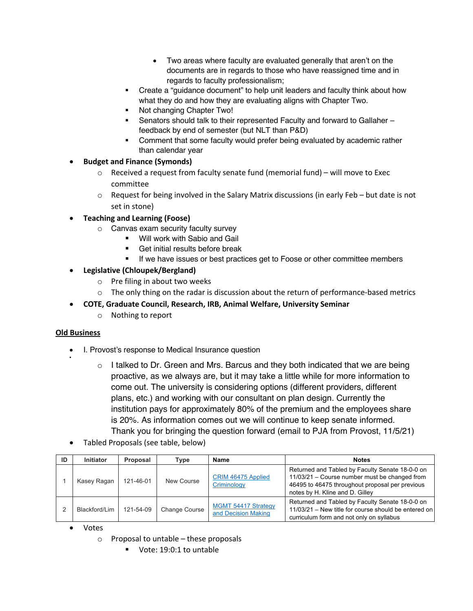- Two areas where faculty are evaluated generally that aren't on the documents are in regards to those who have reassigned time and in regards to faculty professionalism;
- Create a "guidance document" to help unit leaders and faculty think about how what they do and how they are evaluating aligns with Chapter Two.
- Not changing Chapter Two!
- Senators should talk to their represented Faculty and forward to Gallaher feedback by end of semester (but NLT than P&D)
- Comment that some faculty would prefer being evaluated by academic rather than calendar year
- **Budget and Finance (Symonds)**
	- $\circ$  Received a request from faculty senate fund (memorial fund) will move to Exec committee
	- $\circ$  Request for being involved in the Salary Matrix discussions (in early Feb but date is not set in stone)

• **Teaching and Learning (Foose)**

- o Canvas exam security faculty survey
	- Will work with Sabio and Gail
	- § Get initial results before break
	- If we have issues or best practices get to Foose or other committee members

• **Legislative (Chloupek/Bergland)**

- o Pre filing in about two weeks
- $\circ$  The only thing on the radar is discussion about the return of performance-based metrics
- **COTE, Graduate Council, Research, IRB, Animal Welfare, University Seminar**
	- o Nothing to report

# **Old Business**

•

- I. Provost's response to Medical Insurance question
	- $\circ$  I talked to Dr. Green and Mrs. Barcus and they both indicated that we are being proactive, as we always are, but it may take a little while for more information to come out. The university is considering options (different providers, different plans, etc.) and working with our consultant on plan design. Currently the institution pays for approximately 80% of the premium and the employees share is 20%. As information comes out we will continue to keep senate informed. Thank you for bringing the question forward (email to PJA from Provost, 11/5/21)
- Tabled Proposals (see table, below)

| ID | <b>Initiator</b> | Proposal  | Type                 | Name                                              | <b>Notes</b>                                                                                                                                                                           |
|----|------------------|-----------|----------------------|---------------------------------------------------|----------------------------------------------------------------------------------------------------------------------------------------------------------------------------------------|
|    | Kasey Ragan      | 121-46-01 | New Course           | CRIM 46475 Applied<br>Criminology                 | Returned and Tabled by Faculty Senate 18-0-0 on<br>11/03/21 - Course number must be changed from<br>46495 to 46475 throughout proposal per previous<br>notes by H. Kline and D. Gilley |
|    | Blackford/Lim    | 121-54-09 | <b>Change Course</b> | <b>MGMT 54417 Strategy</b><br>and Decision Making | Returned and Tabled by Faculty Senate 18-0-0 on<br>11/03/21 – New title for course should be entered on<br>curriculum form and not only on syllabus                                    |

- Votes
	- o Proposal to untable these proposals
		- § Vote: 19:0:1 to untable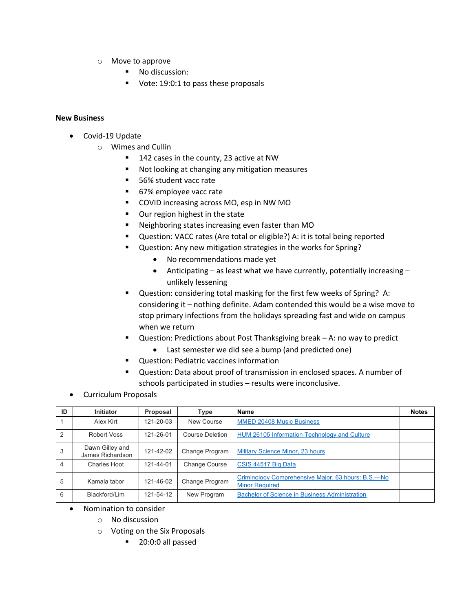- o Move to approve
	- No discussion:
	- Vote: 19:0:1 to pass these proposals

## **New Business**

- Covid-19 Update
	- o Wimes and Cullin
		- 142 cases in the county, 23 active at NW
		- Not looking at changing any mitigation measures
		- 56% student vacc rate
		- 67% employee vacc rate
		- COVID increasing across MO, esp in NW MO
		- Our region highest in the state
		- Neighboring states increasing even faster than MO
		- Question: VACC rates (Are total or eligible?) A: it is total being reported
		- Question: Any new mitigation strategies in the works for Spring?
			- No recommendations made yet
			- Anticipating as least what we have currently, potentially increasing unlikely lessening
		- Question: considering total masking for the first few weeks of Spring? A: considering it – nothing definite. Adam contended this would be a wise move to stop primary infections from the holidays spreading fast and wide on campus when we return
		- Question: Predictions about Post Thanksgiving break A: no way to predict
			- Last semester we did see a bump (and predicted one)
		- § Question: Pediatric vaccines information
		- § Question: Data about proof of transmission in enclosed spaces. A number of schools participated in studies – results were inconclusive.
- Curriculum Proposals

| ID             | <b>Initiator</b>                    | Proposal  | Type                 | <b>Name</b>                                                                 | <b>Notes</b> |
|----------------|-------------------------------------|-----------|----------------------|-----------------------------------------------------------------------------|--------------|
|                | Alex Kirt                           | 121-20-03 | New Course           | <b>MMED 20408 Music Business</b>                                            |              |
| $\overline{2}$ | Robert Voss                         | 121-26-01 | Course Deletion      | <b>HUM 26105 Information Technology and Culture</b>                         |              |
| 3              | Dawn Gilley and<br>James Richardson | 121-42-02 | Change Program       | <b>Military Science Minor, 23 hours</b>                                     |              |
| 4              | Charles Hoot                        | 121-44-01 | <b>Change Course</b> | CSIS 44517 Big Data                                                         |              |
| 5              | Kamala tabor                        | 121-46-02 | Change Program       | Criminology Comprehensive Major, 63 hours: B.S.-No<br><b>Minor Required</b> |              |
| 6              | Blackford/Lim                       | 121-54-12 | New Program          | <b>Bachelor of Science in Business Administration</b>                       |              |

- Nomination to consider
	- o No discussion
	- o Voting on the Six Proposals
		- § 20:0:0 all passed